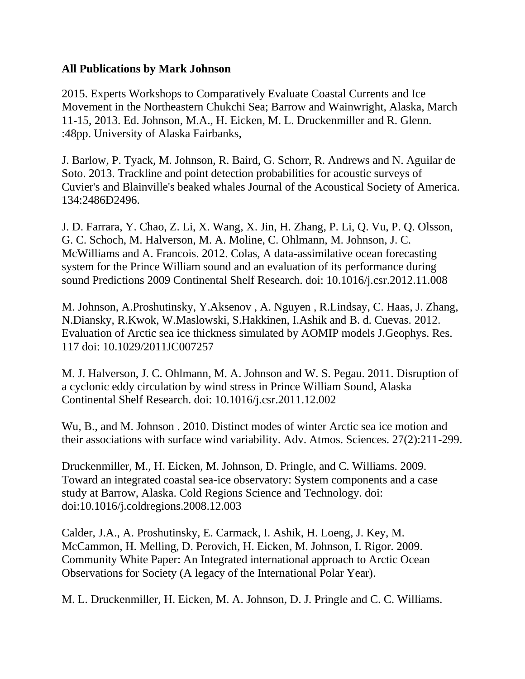## **All Publications by Mark Johnson**

2015. Experts Workshops to Comparatively Evaluate Coastal Currents and Ice Movement in the Northeastern Chukchi Sea; Barrow and Wainwright, Alaska, March 11-15, 2013. Ed. Johnson, M.A., H. Eicken, M. L. Druckenmiller and R. Glenn. :48pp. University of Alaska Fairbanks,

J. Barlow, P. Tyack, M. Johnson, R. Baird, G. Schorr, R. Andrews and N. Aguilar de Soto. 2013. Trackline and point detection probabilities for acoustic surveys of Cuvier's and Blainville's beaked whales Journal of the Acoustical Society of America. 134:2486Ð2496.

J. D. Farrara, Y. Chao, Z. Li, X. Wang, X. Jin, H. Zhang, P. Li, Q. Vu, P. Q. Olsson, G. C. Schoch, M. Halverson, M. A. Moline, C. Ohlmann, M. Johnson, J. C. McWilliams and A. Francois. 2012. Colas, A data-assimilative ocean forecasting system for the Prince William sound and an evaluation of its performance during sound Predictions 2009 Continental Shelf Research. doi: 10.1016/j.csr.2012.11.008

M. Johnson, A.Proshutinsky, Y.Aksenov , A. Nguyen , R.Lindsay, C. Haas, J. Zhang, N.Diansky, R.Kwok, W.Maslowski, S.Hakkinen, I.Ashik and B. d. Cuevas. 2012. Evaluation of Arctic sea ice thickness simulated by AOMIP models J.Geophys. Res. 117 doi: 10.1029/2011JC007257

M. J. Halverson, J. C. Ohlmann, M. A. Johnson and W. S. Pegau. 2011. Disruption of a cyclonic eddy circulation by wind stress in Prince William Sound, Alaska Continental Shelf Research. doi: 10.1016/j.csr.2011.12.002

Wu, B., and M. Johnson . 2010. Distinct modes of winter Arctic sea ice motion and their associations with surface wind variability. Adv. Atmos. Sciences. 27(2):211-299.

Druckenmiller, M., H. Eicken, M. Johnson, D. Pringle, and C. Williams. 2009. Toward an integrated coastal sea-ice observatory: System components and a case study at Barrow, Alaska. Cold Regions Science and Technology. doi: doi:10.1016/j.coldregions.2008.12.003

Calder, J.A., A. Proshutinsky, E. Carmack, I. Ashik, H. Loeng, J. Key, M. McCammon, H. Melling, D. Perovich, H. Eicken, M. Johnson, I. Rigor. 2009. Community White Paper: An Integrated international approach to Arctic Ocean Observations for Society (A legacy of the International Polar Year).

M. L. Druckenmiller, H. Eicken, M. A. Johnson, D. J. Pringle and C. C. Williams.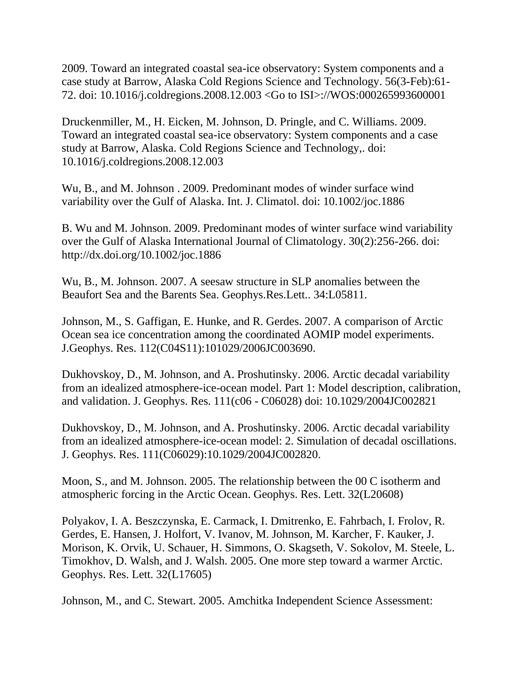2009. Toward an integrated coastal sea-ice observatory: System components and a case study at Barrow, Alaska Cold Regions Science and Technology. 56(3-Feb):61- 72. doi: 10.1016/j.coldregions.2008.12.003 <Go to ISI>://WOS:000265993600001

Druckenmiller, M., H. Eicken, M. Johnson, D. Pringle, and C. Williams. 2009. Toward an integrated coastal sea-ice observatory: System components and a case study at Barrow, Alaska. Cold Regions Science and Technology,. doi: 10.1016/j.coldregions.2008.12.003

Wu, B., and M. Johnson . 2009. Predominant modes of winder surface wind variability over the Gulf of Alaska. Int. J. Climatol. doi: 10.1002/joc.1886

B. Wu and M. Johnson. 2009. Predominant modes of winter surface wind variability over the Gulf of Alaska International Journal of Climatology. 30(2):256-266. doi: http://dx.doi.org/10.1002/joc.1886

Wu, B., M. Johnson. 2007. A seesaw structure in SLP anomalies between the Beaufort Sea and the Barents Sea. Geophys.Res.Lett.. 34:L05811.

Johnson, M., S. Gaffigan, E. Hunke, and R. Gerdes. 2007. A comparison of Arctic Ocean sea ice concentration among the coordinated AOMIP model experiments. J.Geophys. Res. 112(C04S11):101029/2006JC003690.

Dukhovskoy, D., M. Johnson, and A. Proshutinsky. 2006. Arctic decadal variability from an idealized atmosphere-ice-ocean model. Part 1: Model description, calibration, and validation. J. Geophys. Res. 111(c06 - C06028) doi: 10.1029/2004JC002821

Dukhovskoy, D., M. Johnson, and A. Proshutinsky. 2006. Arctic decadal variability from an idealized atmosphere-ice-ocean model: 2. Simulation of decadal oscillations. J. Geophys. Res. 111(C06029):10.1029/2004JC002820.

Moon, S., and M. Johnson. 2005. The relationship between the 00 C isotherm and atmospheric forcing in the Arctic Ocean. Geophys. Res. Lett. 32(L20608)

Polyakov, I. A. Beszczynska, E. Carmack, I. Dmitrenko, E. Fahrbach, I. Frolov, R. Gerdes, E. Hansen, J. Holfort, V. Ivanov, M. Johnson, M. Karcher, F. Kauker, J. Morison, K. Orvik, U. Schauer, H. Simmons, O. Skagseth, V. Sokolov, M. Steele, L. Timokhov, D. Walsh, and J. Walsh. 2005. One more step toward a warmer Arctic. Geophys. Res. Lett. 32(L17605)

Johnson, M., and C. Stewart. 2005. Amchitka Independent Science Assessment: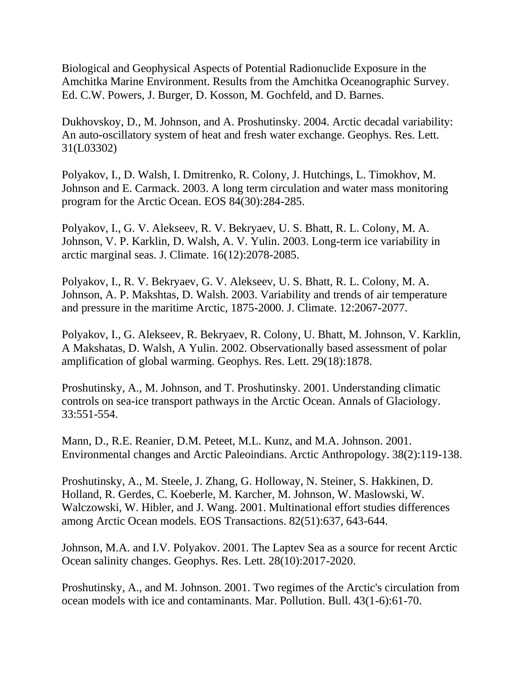Biological and Geophysical Aspects of Potential Radionuclide Exposure in the Amchitka Marine Environment. Results from the Amchitka Oceanographic Survey. Ed. C.W. Powers, J. Burger, D. Kosson, M. Gochfeld, and D. Barnes.

Dukhovskoy, D., M. Johnson, and A. Proshutinsky. 2004. Arctic decadal variability: An auto-oscillatory system of heat and fresh water exchange. Geophys. Res. Lett. 31(L03302)

Polyakov, I., D. Walsh, I. Dmitrenko, R. Colony, J. Hutchings, L. Timokhov, M. Johnson and E. Carmack. 2003. A long term circulation and water mass monitoring program for the Arctic Ocean. EOS 84(30):284-285.

Polyakov, I., G. V. Alekseev, R. V. Bekryaev, U. S. Bhatt, R. L. Colony, M. A. Johnson, V. P. Karklin, D. Walsh, A. V. Yulin. 2003. Long-term ice variability in arctic marginal seas. J. Climate. 16(12):2078-2085.

Polyakov, I., R. V. Bekryaev, G. V. Alekseev, U. S. Bhatt, R. L. Colony, M. A. Johnson, A. P. Makshtas, D. Walsh. 2003. Variability and trends of air temperature and pressure in the maritime Arctic, 1875-2000. J. Climate. 12:2067-2077.

Polyakov, I., G. Alekseev, R. Bekryaev, R. Colony, U. Bhatt, M. Johnson, V. Karklin, A Makshatas, D. Walsh, A Yulin. 2002. Observationally based assessment of polar amplification of global warming. Geophys. Res. Lett. 29(18):1878.

Proshutinsky, A., M. Johnson, and T. Proshutinsky. 2001. Understanding climatic controls on sea-ice transport pathways in the Arctic Ocean. Annals of Glaciology. 33:551-554.

Mann, D., R.E. Reanier, D.M. Peteet, M.L. Kunz, and M.A. Johnson. 2001. Environmental changes and Arctic Paleoindians. Arctic Anthropology. 38(2):119-138.

Proshutinsky, A., M. Steele, J. Zhang, G. Holloway, N. Steiner, S. Hakkinen, D. Holland, R. Gerdes, C. Koeberle, M. Karcher, M. Johnson, W. Maslowski, W. Walczowski, W. Hibler, and J. Wang. 2001. Multinational effort studies differences among Arctic Ocean models. EOS Transactions. 82(51):637, 643-644.

Johnson, M.A. and I.V. Polyakov. 2001. The Laptev Sea as a source for recent Arctic Ocean salinity changes. Geophys. Res. Lett. 28(10):2017-2020.

Proshutinsky, A., and M. Johnson. 2001. Two regimes of the Arctic's circulation from ocean models with ice and contaminants. Mar. Pollution. Bull. 43(1-6):61-70.